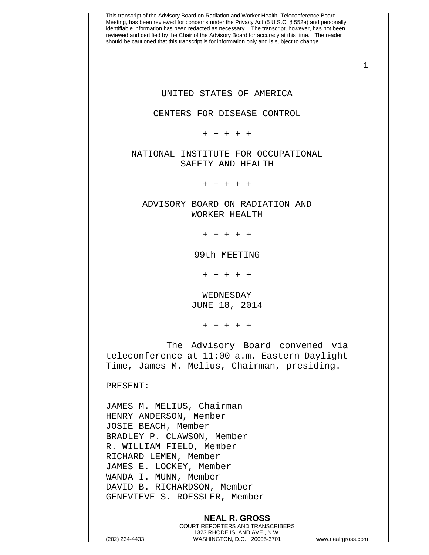This transcript of the Advisory Board on Radiation and Worker Health, Teleconference Board Meeting, has been reviewed for concerns under the Privacy Act (5 U.S.C. § 552a) and personally identifiable information has been redacted as necessary. The transcript, however, has not been reviewed and certified by the Chair of the Advisory Board for accuracy at this time. The reader should be cautioned that this transcript is for information only and is subject to change. 1 **NEAL R. GROSS** UNITED STATES OF AMERICA CENTERS FOR DISEASE CONTROL + + + + + NATIONAL INSTITUTE FOR OCCUPATIONAL SAFETY AND HEALTH + + + + + ADVISORY BOARD ON RADIATION AND WORKER HEALTH + + + + + 99th MEETING + + + + + WEDNESDAY JUNE 18, 2014 + + + + + The Advisory Board convened via teleconference at 11:00 a.m. Eastern Daylight Time, James M. Melius, Chairman, presiding. PRESENT: JAMES M. MELIUS, Chairman HENRY ANDERSON, Member JOSIE BEACH, Member BRADLEY P. CLAWSON, Member R. WILLIAM FIELD, Member RICHARD LEMEN, Member JAMES E. LOCKEY, Member WANDA I. MUNN, Member DAVID B. RICHARDSON, Member GENEVIEVE S. ROESSLER, Member

> COURT REPORTERS AND TRANSCRIBERS 1323 RHODE ISLAND AVE., N.W.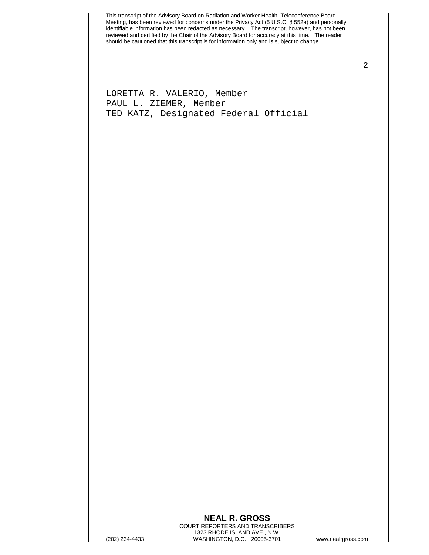LORETTA R. VALERIO, Member PAUL L. ZIEMER, Member TED KATZ, Designated Federal Official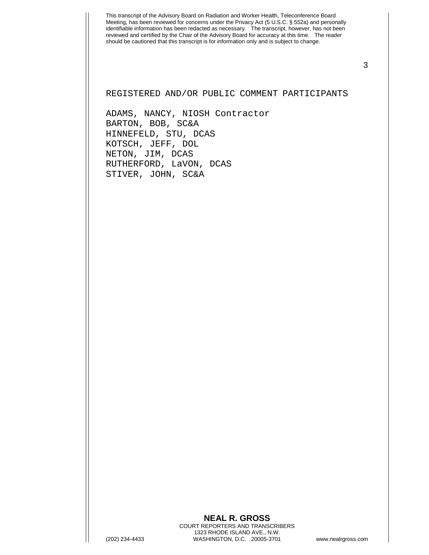3

REGISTERED AND/OR PUBLIC COMMENT PARTICIPANTS

ADAMS, NANCY, NIOSH Contractor BARTON, BOB, SC&A HINNEFELD, STU, DCAS KOTSCH, JEFF, DOL NETON, JIM, DCAS RUTHERFORD, LaVON, DCAS STIVER, JOHN, SC&A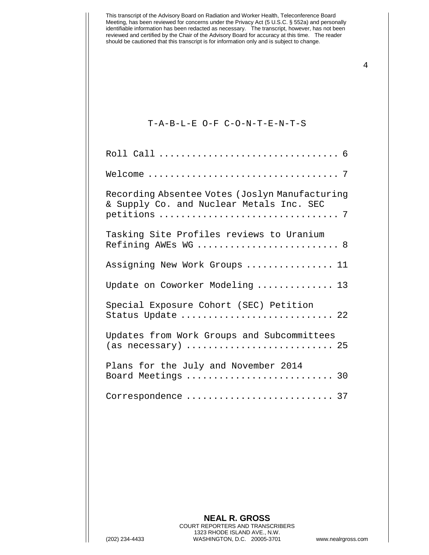| This transcript of the Advisory Board on Radiation and Worker Health, Teleconference Board<br>Meeting, has been reviewed for concerns under the Privacy Act (5 U.S.C. § 552a) and personally<br>identifiable information has been redacted as necessary. The transcript, however, has not been<br>reviewed and certified by the Chair of the Advisory Board for accuracy at this time. The reader<br>should be cautioned that this transcript is for information only and is subject to change. |
|-------------------------------------------------------------------------------------------------------------------------------------------------------------------------------------------------------------------------------------------------------------------------------------------------------------------------------------------------------------------------------------------------------------------------------------------------------------------------------------------------|
| T-A-B-L-E O-F C-O-N-T-E-N-T-S                                                                                                                                                                                                                                                                                                                                                                                                                                                                   |
|                                                                                                                                                                                                                                                                                                                                                                                                                                                                                                 |
|                                                                                                                                                                                                                                                                                                                                                                                                                                                                                                 |
| Recording Absentee Votes (Joslyn Manufacturing<br>& Supply Co. and Nuclear Metals Inc. SEC                                                                                                                                                                                                                                                                                                                                                                                                      |
| Tasking Site Profiles reviews to Uranium<br>Refining AWEs WG  8                                                                                                                                                                                                                                                                                                                                                                                                                                 |
| Assigning New Work Groups  11                                                                                                                                                                                                                                                                                                                                                                                                                                                                   |
| Update on Coworker Modeling  13                                                                                                                                                                                                                                                                                                                                                                                                                                                                 |
| Special Exposure Cohort (SEC) Petition<br>Status Update  22                                                                                                                                                                                                                                                                                                                                                                                                                                     |
| Updates from Work Groups and Subcommittees                                                                                                                                                                                                                                                                                                                                                                                                                                                      |
| Plans for the July and November 2014<br>Board Meetings  30                                                                                                                                                                                                                                                                                                                                                                                                                                      |
| Correspondence  37                                                                                                                                                                                                                                                                                                                                                                                                                                                                              |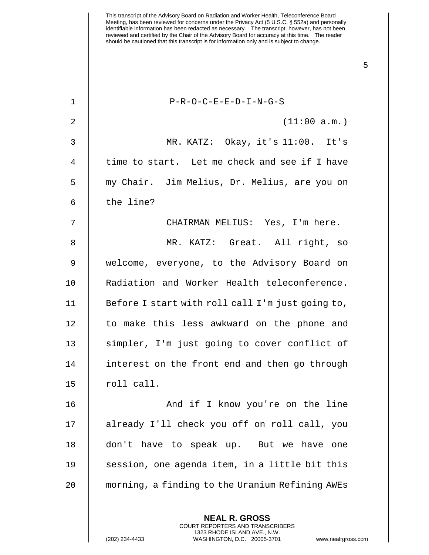This transcript of the Advisory Board on Radiation and Worker Health, Teleconference Board Meeting, has been reviewed for concerns under the Privacy Act (5 U.S.C. § 552a) and personally identifiable information has been redacted as necessary. The transcript, however, has not been reviewed and certified by the Chair of the Advisory Board for accuracy at this time. The reader should be cautioned that this transcript is for information only and is subject to change. 1 P-R-O-C-E-E-D-I-N-G-S 2 || (11:00 a.m.) 3 MR. KATZ: Okay, it's 11:00. It's 4 || time to start. Let me check and see if I have 5 my Chair. Jim Melius, Dr. Melius, are you on  $6$   $\parallel$  the line? 7 CHAIRMAN MELIUS: Yes, I'm here. 8 || MR. KATZ: Great. All right, so 9 welcome, everyone, to the Advisory Board on 10 Radiation and Worker Health teleconference. 11 | Before I start with roll call I'm just going to, 12 || to make this less awkward on the phone and 13 || simpler, I'm just going to cover conflict of 14 || interest on the front end and then go through  $15$  ||  $10$  roll call. 16 || And if I know you're on the line 17 already I'll check you off on roll call, you 18 don't have to speak up. But we have one 19 || session, one agenda item, in a little bit this 20 morning, a finding to the Uranium Refining AWEs

> **NEAL R. GROSS** COURT REPORTERS AND TRANSCRIBERS 1323 RHODE ISLAND AVE., N.W.

(202) 234-4433 WASHINGTON, D.C. 20005-3701 www.nealrgross.com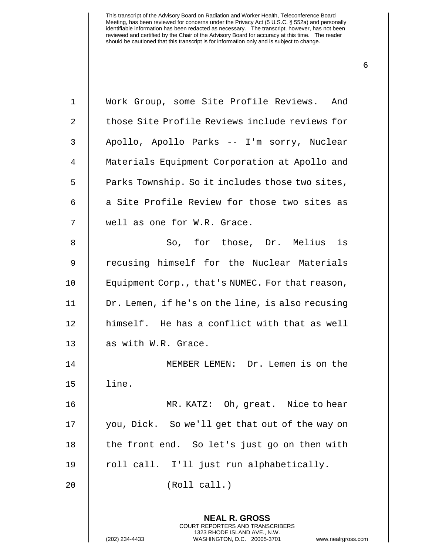| $\mathbf 1$    | Work Group, some Site Profile Reviews. And                                                                                                                  |
|----------------|-------------------------------------------------------------------------------------------------------------------------------------------------------------|
| $\overline{a}$ | those Site Profile Reviews include reviews for                                                                                                              |
| 3              | Apollo, Apollo Parks -- I'm sorry, Nuclear                                                                                                                  |
| 4              | Materials Equipment Corporation at Apollo and                                                                                                               |
| 5              | Parks Township. So it includes those two sites,                                                                                                             |
| 6              | a Site Profile Review for those two sites as                                                                                                                |
| 7              | well as one for W.R. Grace.                                                                                                                                 |
| 8              | So, for those, Dr. Melius is                                                                                                                                |
| 9              | recusing himself for the Nuclear Materials                                                                                                                  |
| 10             | Equipment Corp., that's NUMEC. For that reason,                                                                                                             |
| 11             | Dr. Lemen, if he's on the line, is also recusing                                                                                                            |
| 12             | himself. He has a conflict with that as well                                                                                                                |
| 13             | as with W.R. Grace.                                                                                                                                         |
| 14             | MEMBER LEMEN: Dr. Lemen is on the                                                                                                                           |
| 15             | line.                                                                                                                                                       |
| 16             | MR. KATZ: Oh, great. Nice to hear                                                                                                                           |
| 17             | you, Dick. So we'll get that out of the way on                                                                                                              |
| 18             | the front end. So let's just go on then with                                                                                                                |
| 19             | roll call. I'll just run alphabetically.                                                                                                                    |
| 20             | (Roll call.)                                                                                                                                                |
|                | <b>NEAL R. GROSS</b><br>COURT REPORTERS AND TRANSCRIBERS<br>1323 RHODE ISLAND AVE., N.W.<br>(202) 234-4433<br>WASHINGTON, D.C. 20005-3701<br>www.nealrgross |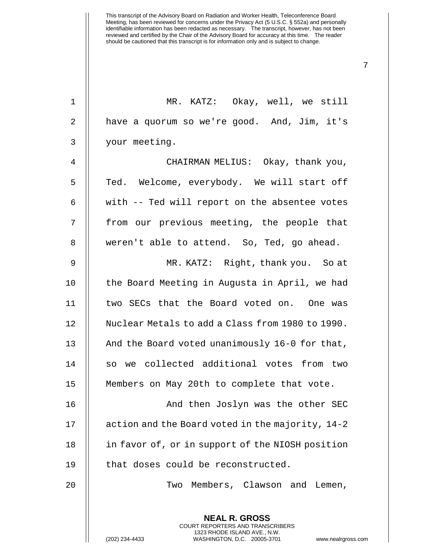| $\mathbf 1$    | MR. KATZ: Okay, well, we still                                                                                                                                     |
|----------------|--------------------------------------------------------------------------------------------------------------------------------------------------------------------|
|                |                                                                                                                                                                    |
| $\overline{a}$ | have a quorum so we're good. And, Jim, it's                                                                                                                        |
| $\mathfrak{Z}$ | your meeting.                                                                                                                                                      |
| $\overline{4}$ | CHAIRMAN MELIUS: Okay, thank you,                                                                                                                                  |
| 5              | Ted. Welcome, everybody. We will start off                                                                                                                         |
| 6              | with -- Ted will report on the absentee votes                                                                                                                      |
| 7              | from our previous meeting, the people that                                                                                                                         |
| 8              | weren't able to attend. So, Ted, go ahead.                                                                                                                         |
| $\mathsf 9$    | MR. KATZ: Right, thank you. So at                                                                                                                                  |
| 10             | the Board Meeting in Augusta in April, we had                                                                                                                      |
| 11             | two SECs that the Board voted on. One was                                                                                                                          |
| 12             | Nuclear Metals to add a Class from 1980 to 1990.                                                                                                                   |
| 13             | And the Board voted unanimously 16-0 for that,                                                                                                                     |
| 14             | so we collected additional votes from two                                                                                                                          |
| 15             | Members on May 20th to complete that vote.                                                                                                                         |
| 16             | And then Joslyn was the other SEC                                                                                                                                  |
| 17             | action and the Board voted in the majority, 14-2                                                                                                                   |
| 18             | in favor of, or in support of the NIOSH position                                                                                                                   |
| 19             | that doses could be reconstructed.                                                                                                                                 |
| 20             | Two Members, Clawson and Lemen,                                                                                                                                    |
|                | <b>NEAL R. GROSS</b><br><b>COURT REPORTERS AND TRANSCRIBERS</b><br>1323 RHODE ISLAND AVE., N.W.<br>WASHINGTON, D.C. 20005-3701<br>(202) 234-4433<br>www.nealrgross |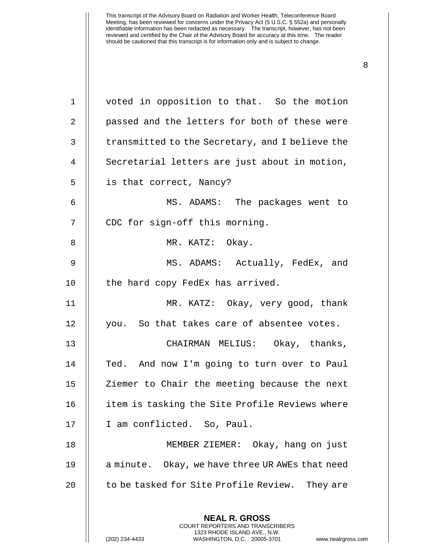| $\mathbf 1$ | voted in opposition to that. So the motion                                                                                                                      |
|-------------|-----------------------------------------------------------------------------------------------------------------------------------------------------------------|
| 2           | passed and the letters for both of these were                                                                                                                   |
| 3           | transmitted to the Secretary, and I believe the                                                                                                                 |
| 4           | Secretarial letters are just about in motion,                                                                                                                   |
| 5           | is that correct, Nancy?                                                                                                                                         |
| 6           | MS. ADAMS: The packages went to                                                                                                                                 |
| 7           | CDC for sign-off this morning.                                                                                                                                  |
| 8           | MR. KATZ: Okay.                                                                                                                                                 |
| 9           | MS. ADAMS: Actually, FedEx, and                                                                                                                                 |
| 10          | the hard copy FedEx has arrived.                                                                                                                                |
| 11          | MR. KATZ: Okay, very good, thank                                                                                                                                |
| 12          | you. So that takes care of absentee votes.                                                                                                                      |
| 13          | CHAIRMAN MELIUS: Okay, thanks,                                                                                                                                  |
| 14          | Ted. And now I'm going to turn over to Paul                                                                                                                     |
| 15          | Ziemer to Chair the meeting because the next                                                                                                                    |
| 16          | item is tasking the Site Profile Reviews where                                                                                                                  |
| 17          | I am conflicted. So, Paul.                                                                                                                                      |
| 18          | MEMBER ZIEMER: Okay, hang on just                                                                                                                               |
| 19          | a minute. Okay, we have three UR AWEs that need                                                                                                                 |
| 20          | to be tasked for Site Profile Review. They are                                                                                                                  |
|             |                                                                                                                                                                 |
|             | <b>NEAL R. GROSS</b><br>COURT REPORTERS AND TRANSCRIBERS<br>1323 RHODE ISLAND AVE., N.W.<br>(202) 234-4433<br>WASHINGTON, D.C. 20005-3701<br>www.nealrgross.com |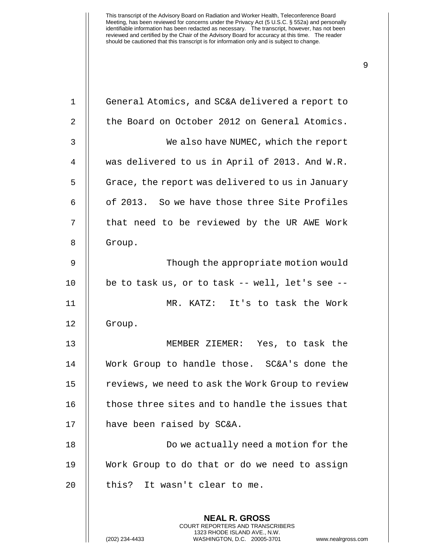| $1\,$            | General Atomics, and SC&A delivered a report to       |
|------------------|-------------------------------------------------------|
| 2                | the Board on October 2012 on General Atomics.         |
| $\mathbf{3}$     | We also have NUMEC, which the report                  |
| 4                | was delivered to us in April of 2013. And W.R.        |
| 5                | Grace, the report was delivered to us in January      |
| 6                | of 2013. So we have those three Site Profiles         |
| $\boldsymbol{7}$ | that need to be reviewed by the UR AWE Work           |
| 8                | Group.                                                |
| 9                | Though the appropriate motion would                   |
| 10               | be to task us, or to task $-$ - well, let's see $-$ - |
| 11               | MR. KATZ: It's to task the Work                       |
| 12               | Group.                                                |
| 13               | MEMBER ZIEMER: Yes, to task the                       |
| 14               | Work Group to handle those. SC&A's done the           |
| 15               | reviews, we need to ask the Work Group to review      |
| 16               | those three sites and to handle the issues that       |
| 17               | have been raised by SC&A.                             |
| 18               | Do we actually need a motion for the                  |
| 19               | Work Group to do that or do we need to assign         |
| 20               | this?<br>It wasn't clear to me.                       |
|                  |                                                       |
|                  | <b>NEAL R. GROSS</b>                                  |

COURT REPORTERS AND TRANSCRIBERS 1323 RHODE ISLAND AVE., N.W.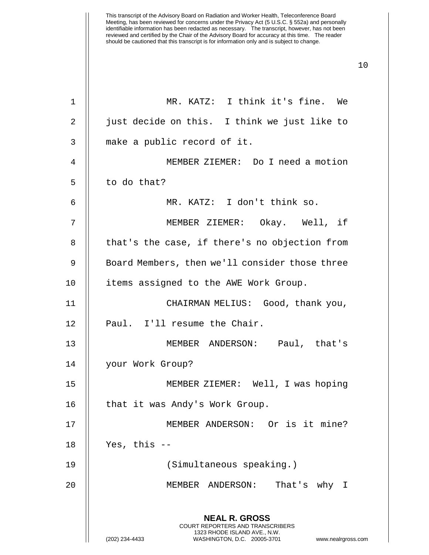| 1  | MR. KATZ: I think it's fine. We                                                                                                                                        |
|----|------------------------------------------------------------------------------------------------------------------------------------------------------------------------|
| 2  | just decide on this. I think we just like to                                                                                                                           |
| 3  | make a public record of it.                                                                                                                                            |
| 4  | MEMBER ZIEMER: Do I need a motion                                                                                                                                      |
| 5  | to do that?                                                                                                                                                            |
| 6  | MR. KATZ: I don't think so.                                                                                                                                            |
| 7  | MEMBER ZIEMER: Okay. Well, if                                                                                                                                          |
| 8  | that's the case, if there's no objection from                                                                                                                          |
| 9  | Board Members, then we'll consider those three                                                                                                                         |
| 10 | items assigned to the AWE Work Group.                                                                                                                                  |
| 11 | CHAIRMAN MELIUS: Good, thank you,                                                                                                                                      |
| 12 | Paul. I'll resume the Chair.                                                                                                                                           |
| 13 | MEMBER ANDERSON: Paul, that's                                                                                                                                          |
| 14 | your Work Group?                                                                                                                                                       |
| 15 | MEMBER ZIEMER: Well, I was hoping                                                                                                                                      |
| 16 | that it was Andy's Work Group.                                                                                                                                         |
| 17 | MEMBER ANDERSON: Or is it mine?                                                                                                                                        |
| 18 | Yes, this $--$                                                                                                                                                         |
| 19 | (Simultaneous speaking.)                                                                                                                                               |
| 20 | That's why I<br>MEMBER ANDERSON:                                                                                                                                       |
|    | <b>NEAL R. GROSS</b><br><b>COURT REPORTERS AND TRANSCRIBERS</b><br>1323 RHODE ISLAND AVE., N.W.<br>(202) 234-4433<br>WASHINGTON, D.C. 20005-3701<br>www.nealrgross.com |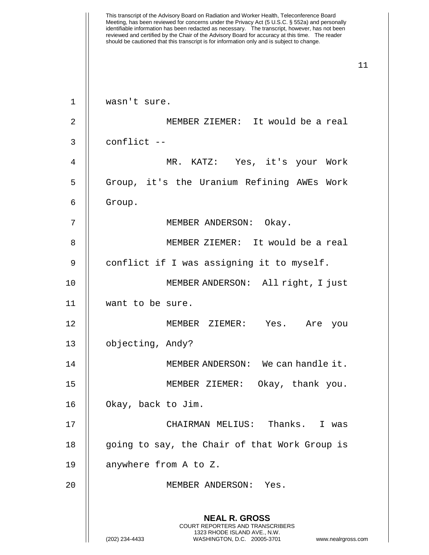This transcript of the Advisory Board on Radiation and Worker Health, Teleconference Board Meeting, has been reviewed for concerns under the Privacy Act (5 U.S.C. § 552a) and personally identifiable information has been redacted as necessary. The transcript, however, has not been reviewed and certified by the Chair of the Advisory Board for accuracy at this time. The reader should be cautioned that this transcript is for information only and is subject to change. 11 **NEAL R. GROSS** COURT REPORTERS AND TRANSCRIBERS 1323 RHODE ISLAND AVE., N.W. (202) 234-4433 WASHINGTON, D.C. 20005-3701 www.nealrgross.com 1 wasn't sure. 2 || MEMBER ZIEMER: It would be a real  $3 \parallel$  conflict  $-$ 4 MR. KATZ: Yes, it's your Work 5 || Group, it's the Uranium Refining AWEs Work  $6 \parallel$  Group. 7 || MEMBER ANDERSON: Okay. 8 MEMBER ZIEMER: It would be a real 9 | conflict if I was assigning it to myself. 10 MEMBER ANDERSON: All right, I just 11 want to be sure. 12 MEMBER ZIEMER: Yes. Are you 13 | objecting, Andy? 14 MEMBER ANDERSON: We can handle it. 15 MEMBER ZIEMER: Okay, thank you. 16 || Okay, back to Jim. 17 CHAIRMAN MELIUS: Thanks. I was 18 || going to say, the Chair of that Work Group is 19 | anywhere from A to Z. 20 || MEMBER ANDERSON: Yes.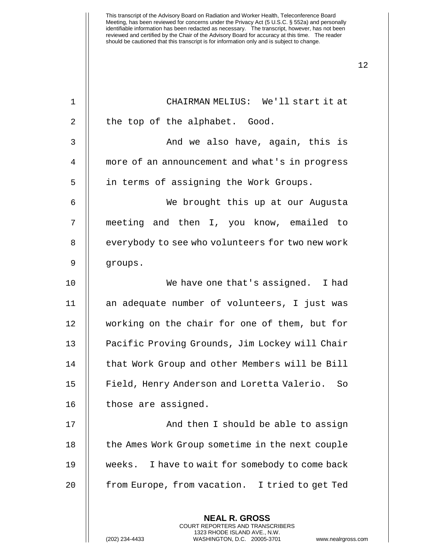| $\mathbf 1$ | CHAIRMAN MELIUS: We'll start it at                                                                                                                         |
|-------------|------------------------------------------------------------------------------------------------------------------------------------------------------------|
| 2           | the top of the alphabet. Good.                                                                                                                             |
| 3           | And we also have, again, this is                                                                                                                           |
| 4           | more of an announcement and what's in progress                                                                                                             |
| 5           | in terms of assigning the Work Groups.                                                                                                                     |
| 6           | We brought this up at our Augusta                                                                                                                          |
| 7           | meeting and then I, you know, emailed to                                                                                                                   |
| 8           | everybody to see who volunteers for two new work                                                                                                           |
| 9           | groups.                                                                                                                                                    |
| 10          | We have one that's assigned. I had                                                                                                                         |
| 11          | an adequate number of volunteers, I just was                                                                                                               |
| 12          | working on the chair for one of them, but for                                                                                                              |
| 13          | Pacific Proving Grounds, Jim Lockey will Chair                                                                                                             |
| 14          | that Work Group and other Members will be Bill                                                                                                             |
| 15          | Field, Henry Anderson and Loretta Valerio. So                                                                                                              |
| 16          | those are assigned.                                                                                                                                        |
| 17          | And then I should be able to assign                                                                                                                        |
| 18          | the Ames Work Group sometime in the next couple                                                                                                            |
| 19          | weeks. I have to wait for somebody to come back                                                                                                            |
| 20          | from Europe, from vacation. I tried to get Ted                                                                                                             |
|             | <b>NEAL R. GROSS</b><br>COURT REPORTERS AND TRANSCRIBERS<br>1323 RHODE ISLAND AVE., N.W.<br>(202) 234-4433<br>WASHINGTON, D.C. 20005-3701<br>www.nealrgros |

(202) 234-4433 WASHINGTON, D.C. 20005-3701 www.nealrgross.com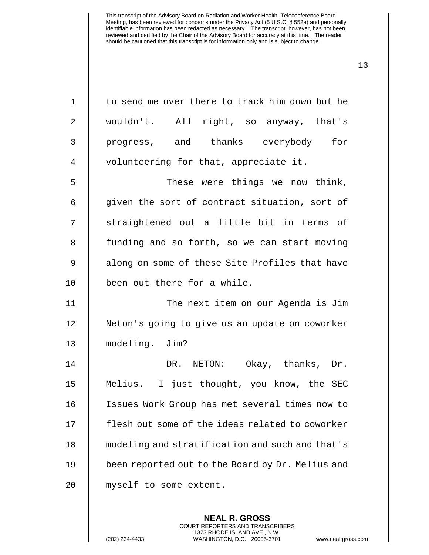| $\mathbf 1$    | to send me over there to track him down but he   |
|----------------|--------------------------------------------------|
| 2              | wouldn't. All right, so anyway, that's           |
| 3              | progress, and thanks everybody<br>for            |
| $\overline{4}$ | volunteering for that, appreciate it.            |
| 5              | These were things we now think,                  |
| 6              | given the sort of contract situation, sort of    |
| 7              | straightened out a little bit in terms of        |
| 8              | funding and so forth, so we can start moving     |
| $\mathsf 9$    | along on some of these Site Profiles that have   |
| 10             | been out there for a while.                      |
|                |                                                  |
| 11             | The next item on our Agenda is Jim               |
| 12             | Neton's going to give us an update on coworker   |
| 13             | modeling. Jim?                                   |
| 14             | DR. NETON: Okay, thanks, Dr.                     |
| 15             | Melius. I just thought, you know, the SEC        |
| 16             | Issues Work Group has met several times now to   |
| 17             | flesh out some of the ideas related to coworker  |
| 18             | modeling and stratification and such and that's  |
| 19             | been reported out to the Board by Dr. Melius and |

**NEAL R. GROSS** COURT REPORTERS AND TRANSCRIBERS 1323 RHODE ISLAND AVE., N.W.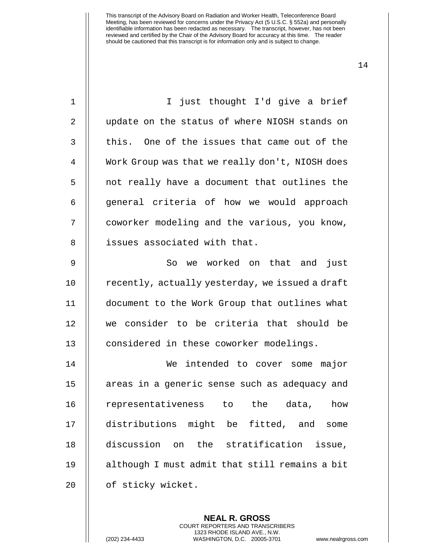| I just thought I'd give a brief                 |
|-------------------------------------------------|
| update on the status of where NIOSH stands on   |
| this. One of the issues that came out of the    |
| Work Group was that we really don't, NIOSH does |
| not really have a document that outlines the    |
| general criteria of how we would approach       |
| coworker modeling and the various, you know,    |
| issues associated with that.                    |
| we worked on that and<br>just<br>So             |
| recently, actually yesterday, we issued a draft |
| document to the Work Group that outlines what   |
| we consider to be criteria that should be       |
| considered in these coworker modelings.         |
| intended to cover some major<br>We              |
| areas in a generic sense such as adequacy and   |
| representativeness to<br>the<br>data,<br>how    |
| distributions might be fitted, and<br>some      |
| discussion<br>on the stratification<br>issue,   |
| although I must admit that still remains a bit  |
| of sticky wicket.                               |
|                                                 |

**NEAL R. GROSS** COURT REPORTERS AND TRANSCRIBERS 1323 RHODE ISLAND AVE., N.W.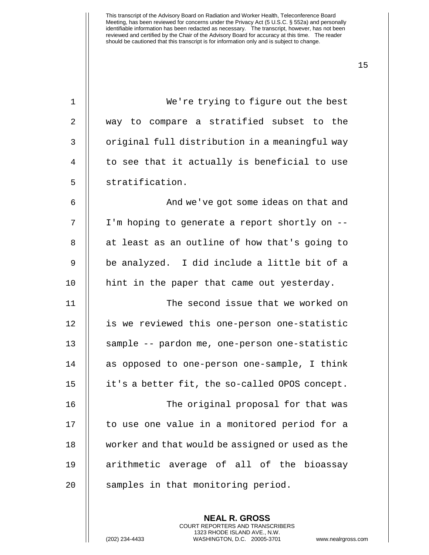| $\mathbf 1$    | We're trying to figure out the best              |
|----------------|--------------------------------------------------|
| $\overline{2}$ | way to compare a stratified subset to the        |
| 3              | original full distribution in a meaningful way   |
| 4              | to see that it actually is beneficial to use     |
| 5              | stratification.                                  |
| 6              | And we've got some ideas on that and             |
| 7              | I'm hoping to generate a report shortly on --    |
| 8              | at least as an outline of how that's going to    |
| 9              | be analyzed. I did include a little bit of a     |
| 10             | hint in the paper that came out yesterday.       |
| 11             | The second issue that we worked on               |
| 12             | is we reviewed this one-person one-statistic     |
| 13             | sample -- pardon me, one-person one-statistic    |
| 14             | as opposed to one-person one-sample, I think     |
| 15             | it's a better fit, the so-called OPOS concept.   |
| 16             | The original proposal for that was               |
| 17             | to use one value in a monitored period for a     |
| 18             | worker and that would be assigned or used as the |
| 19             | arithmetic average of all of the bioassay        |
| 20             | samples in that monitoring period.               |
|                |                                                  |

**NEAL R. GROSS** COURT REPORTERS AND TRANSCRIBERS 1323 RHODE ISLAND AVE., N.W.

(202) 234-4433 WASHINGTON, D.C. 20005-3701 www.nealrgross.com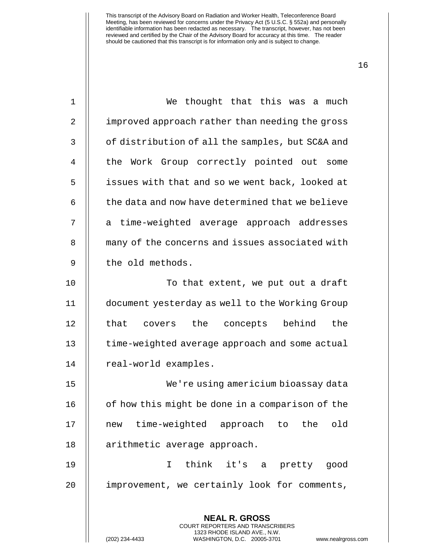| $\mathbf 1$    | We thought that this was a much                                                                                                                             |
|----------------|-------------------------------------------------------------------------------------------------------------------------------------------------------------|
| $\overline{2}$ | improved approach rather than needing the gross                                                                                                             |
| 3              | of distribution of all the samples, but SC&A and                                                                                                            |
| 4              | the Work Group correctly pointed out some                                                                                                                   |
| 5              | issues with that and so we went back, looked at                                                                                                             |
| 6              | the data and now have determined that we believe                                                                                                            |
| 7              | a time-weighted average approach addresses                                                                                                                  |
| 8              | many of the concerns and issues associated with                                                                                                             |
| 9              | the old methods.                                                                                                                                            |
| 10             | To that extent, we put out a draft                                                                                                                          |
| 11             | document yesterday as well to the Working Group                                                                                                             |
| 12             | covers the concepts behind<br>the<br>that                                                                                                                   |
| 13             | time-weighted average approach and some actual                                                                                                              |
| 14             | real-world examples.                                                                                                                                        |
| 15             | We're using americium bioassay data                                                                                                                         |
| 16             | of how this might be done in a comparison of the                                                                                                            |
| 17             | new time-weighted approach to the old                                                                                                                       |
| 18             | arithmetic average approach.                                                                                                                                |
| 19             | think it's a pretty good<br>$\mathsf{T}$                                                                                                                    |
| 20             | improvement, we certainly look for comments,                                                                                                                |
|                | <b>NEAL R. GROSS</b><br>COURT REPORTERS AND TRANSCRIBERS<br>1323 RHODE ISLAND AVE., N.W.<br>(202) 234-4433<br>WASHINGTON, D.C. 20005-3701<br>www.nealrgross |

(202) 234-4433 WASHINGTON, D.C. 20005-3701 www.nealrgross.com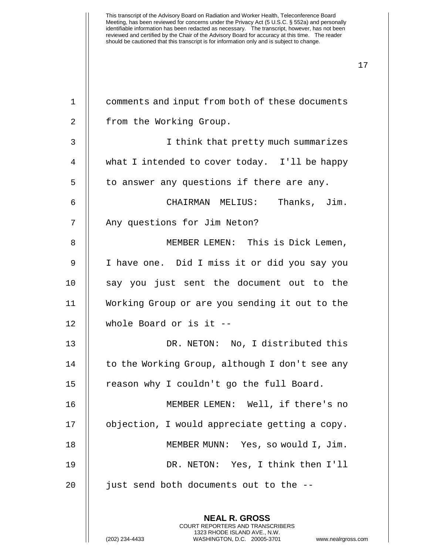1 comments and input from both of these documents 2 | from the Working Group. 3 I think that pretty much summarizes 4 what I intended to cover today. I'll be happy  $5$  || to answer any questions if there are any. 6 CHAIRMAN MELIUS: Thanks, Jim. 7 | Any questions for Jim Neton? 8 | MEMBER LEMEN: This is Dick Lemen, 9 | I have one. Did I miss it or did you say you 10 || say you just sent the document out to the 11 Working Group or are you sending it out to the 12 whole Board or is it -- 13 DR. NETON: No, I distributed this 14 | to the Working Group, although I don't see any 15 | reason why I couldn't go the full Board. 16 MEMBER LEMEN: Well, if there's no 17 | objection, I would appreciate getting a copy. 18 MEMBER MUNN: Yes, so would I, Jim. 19 DR. NETON: Yes, I think then I'll  $20$  || just send both documents out to the  $-$ -

> **NEAL R. GROSS** COURT REPORTERS AND TRANSCRIBERS 1323 RHODE ISLAND AVE., N.W.

(202) 234-4433 WASHINGTON, D.C. 20005-3701 www.nealrgross.com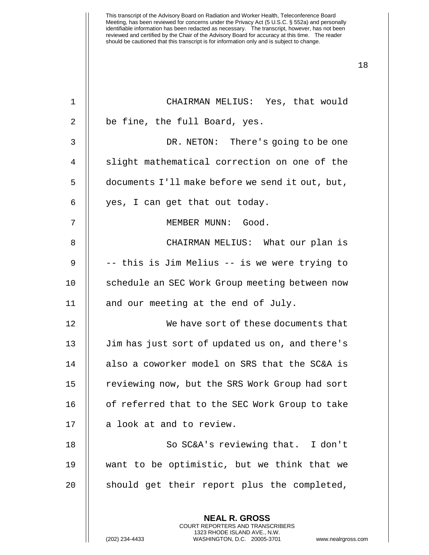| $\mathbf 1$    | CHAIRMAN MELIUS: Yes, that would                         |
|----------------|----------------------------------------------------------|
| $\overline{2}$ | be fine, the full Board, yes.                            |
| 3              | DR. NETON: There's going to be one                       |
| 4              | slight mathematical correction on one of the             |
| 5              | documents I'll make before we send it out, but,          |
| 6              | yes, I can get that out today.                           |
| 7              | MEMBER MUNN: Good.                                       |
| 8              | CHAIRMAN MELIUS: What our plan is                        |
| 9              | -- this is Jim Melius -- is we were trying to            |
| 10             | schedule an SEC Work Group meeting between now           |
| 11             | and our meeting at the end of July.                      |
| 12             | We have sort of these documents that                     |
| 13             | Jim has just sort of updated us on, and there's          |
| 14             | also a coworker model on SRS that the SC&A is            |
| 15             | reviewing now, but the SRS Work Group had sort           |
| 16             | of referred that to the SEC Work Group to take           |
| 17             | a look at and to review.                                 |
| 18             | So SC&A's reviewing that. I don't                        |
| 19             | want to be optimistic, but we think that we              |
| 20             | should get their report plus the completed,              |
|                |                                                          |
|                | <b>NEAL R. GROSS</b><br>COURT REPORTERS AND TRANSCRIBERS |

1323 RHODE ISLAND AVE., N.W.

 $\mathsf{I}$ 

(202) 234-4433 WASHINGTON, D.C. 20005-3701 www.nealrgross.com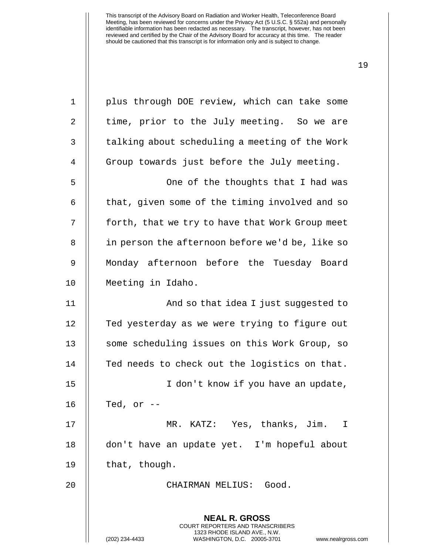| $\mathbf 1$ | plus through DOE review, which can take some                                                                                            |
|-------------|-----------------------------------------------------------------------------------------------------------------------------------------|
| 2           | time, prior to the July meeting. So we are                                                                                              |
| 3           | talking about scheduling a meeting of the Work                                                                                          |
| 4           | Group towards just before the July meeting.                                                                                             |
| 5           | One of the thoughts that I had was                                                                                                      |
| 6           | that, given some of the timing involved and so                                                                                          |
| 7           | forth, that we try to have that Work Group meet                                                                                         |
| 8           | in person the afternoon before we'd be, like so                                                                                         |
| 9           | Monday afternoon before the Tuesday Board                                                                                               |
| 10          | Meeting in Idaho.                                                                                                                       |
| 11          | And so that idea I just suggested to                                                                                                    |
| 12          | Ted yesterday as we were trying to figure out                                                                                           |
| 13          | some scheduling issues on this Work Group, so                                                                                           |
| 14          | Ted needs to check out the logistics on that.                                                                                           |
| 15          | I don't know if you have an update,                                                                                                     |
| 16          | Ted, or                                                                                                                                 |
| 17          | MR. KATZ: Yes, thanks, Jim. I                                                                                                           |
| 18          | don't have an update yet. I'm hopeful about                                                                                             |
| 19          | that, though.                                                                                                                           |
| 20          | CHAIRMAN MELIUS: Good.                                                                                                                  |
|             | <b>NEAL R. GROSS</b>                                                                                                                    |
|             | COURT REPORTERS AND TRANSCRIBERS<br>1323 RHODE ISLAND AVE., N.W.<br>(202) 234-4433<br>WASHINGTON, D.C. 20005-3701<br>www.nealrgross.com |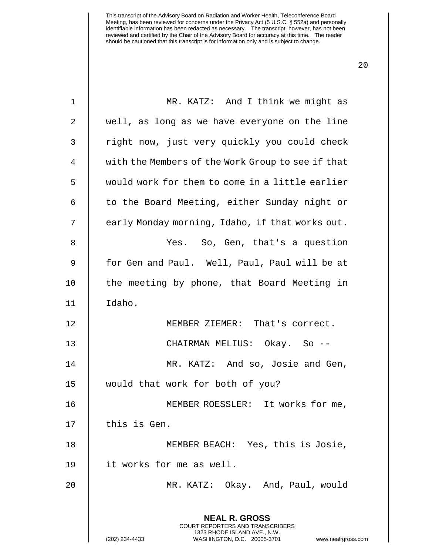| 1  | MR. KATZ: And I think we might as                                                                                                                               |
|----|-----------------------------------------------------------------------------------------------------------------------------------------------------------------|
| 2  | well, as long as we have everyone on the line                                                                                                                   |
| 3  | right now, just very quickly you could check                                                                                                                    |
| 4  | with the Members of the Work Group to see if that                                                                                                               |
| 5  | would work for them to come in a little earlier                                                                                                                 |
| 6  | to the Board Meeting, either Sunday night or                                                                                                                    |
| 7  | early Monday morning, Idaho, if that works out.                                                                                                                 |
| 8  | Yes. So, Gen, that's a question                                                                                                                                 |
| 9  | for Gen and Paul. Well, Paul, Paul will be at                                                                                                                   |
| 10 | the meeting by phone, that Board Meeting in                                                                                                                     |
| 11 | Idaho.                                                                                                                                                          |
| 12 | MEMBER ZIEMER: That's correct.                                                                                                                                  |
| 13 | CHAIRMAN MELIUS: Okay. So --                                                                                                                                    |
| 14 | MR. KATZ: And so, Josie and Gen,                                                                                                                                |
| 15 | would that work for both of you?                                                                                                                                |
| 16 | MEMBER ROESSLER: It works for me,                                                                                                                               |
| 17 | this is Gen.                                                                                                                                                    |
| 18 | MEMBER BEACH: Yes, this is Josie,                                                                                                                               |
| 19 | it works for me as well.                                                                                                                                        |
| 20 | MR. KATZ: Okay. And, Paul, would                                                                                                                                |
|    | <b>NEAL R. GROSS</b><br>COURT REPORTERS AND TRANSCRIBERS<br>1323 RHODE ISLAND AVE., N.W.<br>(202) 234-4433<br>WASHINGTON, D.C. 20005-3701<br>www.nealrgross.com |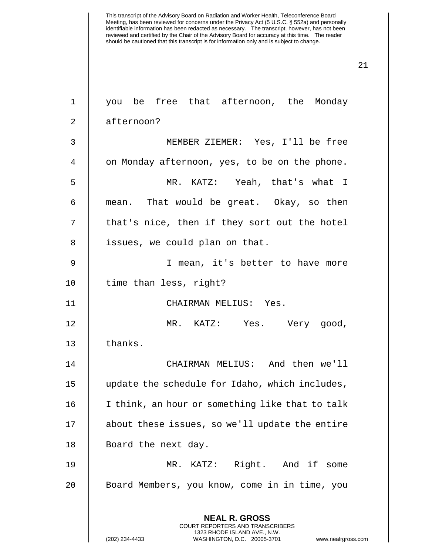| $\mathbf 1$    | you be free that afternoon, the Monday                                                                                                                          |
|----------------|-----------------------------------------------------------------------------------------------------------------------------------------------------------------|
| $\overline{2}$ | afternoon?                                                                                                                                                      |
| 3              | MEMBER ZIEMER: Yes, I'll be free                                                                                                                                |
| 4              | on Monday afternoon, yes, to be on the phone.                                                                                                                   |
| 5              | MR. KATZ: Yeah, that's what I                                                                                                                                   |
| 6              | mean. That would be great. Okay, so then                                                                                                                        |
| 7              | that's nice, then if they sort out the hotel                                                                                                                    |
| 8              | issues, we could plan on that.                                                                                                                                  |
| 9              | I mean, it's better to have more                                                                                                                                |
| 10             | time than less, right?                                                                                                                                          |
| 11             | CHAIRMAN MELIUS: Yes.                                                                                                                                           |
| 12             | MR. KATZ: Yes. Very good,                                                                                                                                       |
| 13             | thanks.                                                                                                                                                         |
| 14             | CHAIRMAN MELIUS: And then we'll                                                                                                                                 |
| 15             | update the schedule for Idaho, which includes,                                                                                                                  |
| 16             | I think, an hour or something like that to talk                                                                                                                 |
| 17             | about these issues, so we'll update the entire                                                                                                                  |
| 18             | Board the next day.                                                                                                                                             |
| 19             | MR. KATZ: Right. And if some                                                                                                                                    |
| 20             | Board Members, you know, come in in time, you                                                                                                                   |
|                | <b>NEAL R. GROSS</b><br>COURT REPORTERS AND TRANSCRIBERS<br>1323 RHODE ISLAND AVE., N.W.<br>(202) 234-4433<br>WASHINGTON, D.C. 20005-3701<br>www.nealrgross.com |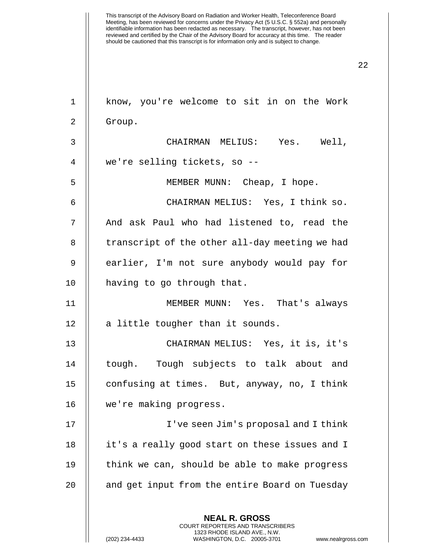| $\mathbf{1}$   | know, you're welcome to sit in on the Work                                                                                                                          |
|----------------|---------------------------------------------------------------------------------------------------------------------------------------------------------------------|
| $\overline{2}$ | Group.                                                                                                                                                              |
| 3              | CHAIRMAN MELIUS: Yes. Well,                                                                                                                                         |
| 4              | we're selling tickets, so --                                                                                                                                        |
| 5              | MEMBER MUNN: Cheap, I hope.                                                                                                                                         |
| 6              | CHAIRMAN MELIUS: Yes, I think so.                                                                                                                                   |
| 7              | And ask Paul who had listened to, read the                                                                                                                          |
| 8              | transcript of the other all-day meeting we had                                                                                                                      |
| 9              | earlier, I'm not sure anybody would pay for                                                                                                                         |
| 10             | having to go through that.                                                                                                                                          |
| 11             | MEMBER MUNN: Yes. That's always                                                                                                                                     |
| 12             | a little tougher than it sounds.                                                                                                                                    |
| 13             | CHAIRMAN MELIUS: Yes, it is, it's                                                                                                                                   |
| 14             | tough. Tough subjects to talk about and                                                                                                                             |
| 15             | confusing at times. But, anyway, no, I think                                                                                                                        |
| 16             | we're making progress.                                                                                                                                              |
| 17             | I've seen Jim's proposal and I think                                                                                                                                |
| 18             | it's a really good start on these issues and I                                                                                                                      |
| 19             | think we can, should be able to make progress                                                                                                                       |
| 20             | and get input from the entire Board on Tuesday                                                                                                                      |
|                | <b>NEAL R. GROSS</b><br><b>COURT REPORTERS AND TRANSCRIBERS</b><br>1323 RHODE ISLAND AVE., N.W.<br>(202) 234-4433<br>WASHINGTON, D.C. 20005-3701<br>www.nealrgross. |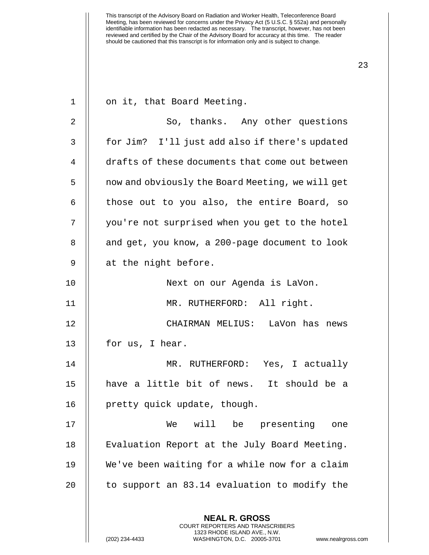| $\mathbf 1$ | on it, that Board Meeting.                                                                                                                                      |
|-------------|-----------------------------------------------------------------------------------------------------------------------------------------------------------------|
| 2           | So, thanks. Any other questions                                                                                                                                 |
| 3           | for Jim? I'll just add also if there's updated                                                                                                                  |
| 4           | drafts of these documents that come out between                                                                                                                 |
| 5           | now and obviously the Board Meeting, we will get                                                                                                                |
| 6           | those out to you also, the entire Board, so                                                                                                                     |
| 7           | you're not surprised when you get to the hotel                                                                                                                  |
| 8           | and get, you know, a 200-page document to look                                                                                                                  |
| 9           | at the night before.                                                                                                                                            |
| 10          | Next on our Agenda is LaVon.                                                                                                                                    |
| 11          | MR. RUTHERFORD: All right.                                                                                                                                      |
| 12          | CHAIRMAN MELIUS: LaVon has news                                                                                                                                 |
| 13          | for us, I hear.                                                                                                                                                 |
| 14          | MR. RUTHERFORD: Yes, I actually                                                                                                                                 |
| 15          | have a little bit of news. It should be a                                                                                                                       |
| 16          | pretty quick update, though.                                                                                                                                    |
| 17          | will<br>be<br>presenting<br>We<br>one                                                                                                                           |
| 18          | Evaluation Report at the July Board Meeting.                                                                                                                    |
| 19          | We've been waiting for a while now for a claim                                                                                                                  |
| 20          | to support an 83.14 evaluation to modify the                                                                                                                    |
|             | <b>NEAL R. GROSS</b><br>COURT REPORTERS AND TRANSCRIBERS<br>1323 RHODE ISLAND AVE., N.W.<br>(202) 234-4433<br>WASHINGTON, D.C. 20005-3701<br>www.nealrgross.com |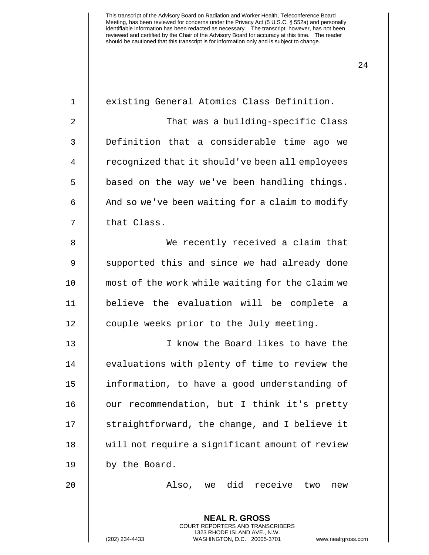| $\mathbf 1$    | existing General Atomics Class Definition.               |
|----------------|----------------------------------------------------------|
| $\overline{2}$ | That was a building-specific Class                       |
| 3              | Definition that a considerable time ago we               |
| 4              | recognized that it should've been all employees          |
| 5              | based on the way we've been handling things.             |
| 6              | And so we've been waiting for a claim to modify          |
| 7              | that Class.                                              |
| 8              | We recently received a claim that                        |
| 9              | supported this and since we had already done             |
| 10             | most of the work while waiting for the claim we          |
| 11             | believe the evaluation will be complete a                |
| 12             | couple weeks prior to the July meeting.                  |
| 13             | I know the Board likes to have the                       |
| 14             | evaluations with plenty of time to review the            |
| 15             | information, to have a good understanding of             |
| 16             | our recommendation, but I think it's pretty              |
| 17             | straightforward, the change, and I believe it            |
| 18             | will not require a significant amount of review          |
| 19             | by the Board.                                            |
| 20             | Also, we did receive<br>two<br>new                       |
|                | <b>NEAL R. GROSS</b><br>COURT REPORTERS AND TRANSCRIBERS |

1323 RHODE ISLAND AVE., N.W.

 $\bigg|\bigg|$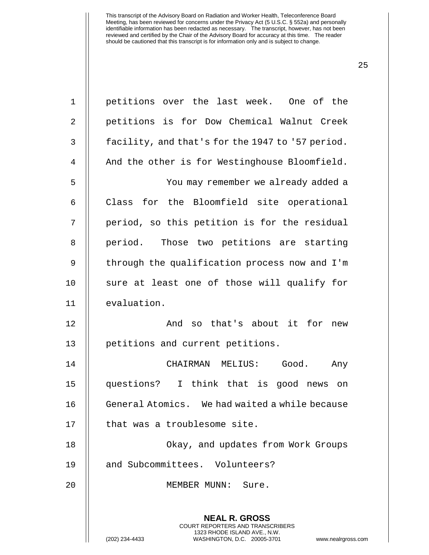| $\mathbf 1$    | petitions over the last week. One of the                                                                                                                               |
|----------------|------------------------------------------------------------------------------------------------------------------------------------------------------------------------|
| $\overline{2}$ | petitions is for Dow Chemical Walnut Creek                                                                                                                             |
| 3              | facility, and that's for the 1947 to '57 period.                                                                                                                       |
| 4              | And the other is for Westinghouse Bloomfield.                                                                                                                          |
| 5              | You may remember we already added a                                                                                                                                    |
| 6              | for the Bloomfield site operational<br>Class                                                                                                                           |
| 7              | period, so this petition is for the residual                                                                                                                           |
| 8              | period. Those two petitions are starting                                                                                                                               |
| 9              | through the qualification process now and I'm                                                                                                                          |
| 10             | sure at least one of those will qualify for                                                                                                                            |
| 11             | evaluation.                                                                                                                                                            |
| 12             | And so that's about it for new                                                                                                                                         |
| 13             | petitions and current petitions.                                                                                                                                       |
| 14             | CHAIRMAN MELIUS:<br>Good.<br>Any                                                                                                                                       |
| 15             | questions? I think that is good news on                                                                                                                                |
| 16             | General Atomics. We had waited a while because                                                                                                                         |
| 17             | that was a troublesome site.                                                                                                                                           |
| 18             | Okay, and updates from Work Groups                                                                                                                                     |
| 19             | and Subcommittees. Volunteers?                                                                                                                                         |
| 20             | MEMBER MUNN:<br>Sure.                                                                                                                                                  |
|                | <b>NEAL R. GROSS</b><br><b>COURT REPORTERS AND TRANSCRIBERS</b><br>1323 RHODE ISLAND AVE., N.W.<br>(202) 234-4433<br>WASHINGTON, D.C. 20005-3701<br>www.nealrgross.com |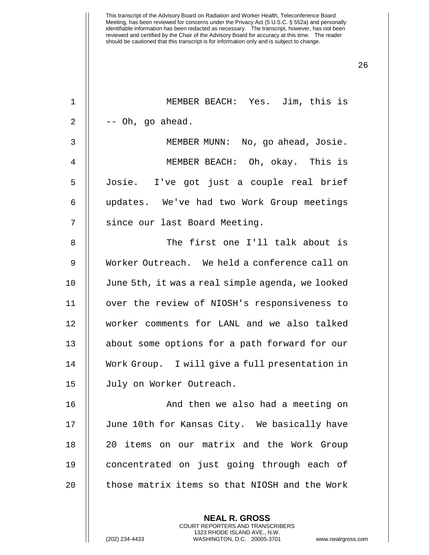MEMBER BEACH: Yes. Jim, this is  $2 \parallel - -$  Oh, go ahead. MEMBER MUNN: No, go ahead, Josie. MEMBER BEACH: Oh, okay. This is Josie. I've got just a couple real brief updates. We've had two Work Group meetings 7 | since our last Board Meeting. The first one I'll talk about is Worker Outreach. We held a conference call on June 5th, it was a real simple agenda, we looked over the review of NIOSH's responsiveness to worker comments for LANL and we also talked 13 || about some options for a path forward for our Work Group. I will give a full presentation in 15 | July on Worker Outreach. 16 || And then we also had a meeting on 17 || June 10th for Kansas City. We basically have 20 items on our matrix and the Work Group 19 || concentrated on just going through each of  $\parallel$  those matrix items so that NIOSH and the Work

> **NEAL R. GROSS** COURT REPORTERS AND TRANSCRIBERS 1323 RHODE ISLAND AVE., N.W.

(202) 234-4433 WASHINGTON, D.C. 20005-3701 www.nealrgross.com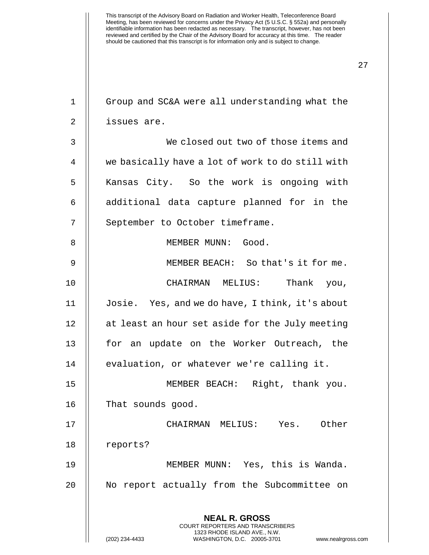27

**NEAL R. GROSS** COURT REPORTERS AND TRANSCRIBERS 1323 RHODE ISLAND AVE., N.W. 1 Group and SC&A were all understanding what the 2 issues are. 3 We closed out two of those items and 4 we basically have a lot of work to do still with 5 || Kansas City. So the work is ongoing with  $6$   $\parallel$  additional data capture planned for in the 7 | September to October timeframe. 8 MEMBER MUNN: Good. 9 MEMBER BEACH: So that's it for me. 10 CHAIRMAN MELIUS: Thank you, 11 Josie. Yes, and we do have, I think, it's about  $12$  | at least an hour set aside for the July meeting 13 || for an update on the Worker Outreach, the 14 | evaluation, or whatever we're calling it. 15 MEMBER BEACH: Right, thank you. 16 || That sounds good. 17 CHAIRMAN MELIUS: Yes. Other 18 | reports? 19 MEMBER MUNN: Yes, this is Wanda. 20 || No report actually from the Subcommittee on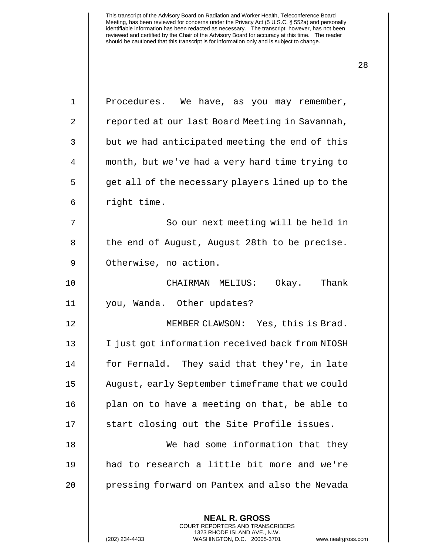| $\mathbf 1$ | Procedures. We have, as you may remember,        |
|-------------|--------------------------------------------------|
| 2           | reported at our last Board Meeting in Savannah,  |
| 3           | but we had anticipated meeting the end of this   |
| 4           | month, but we've had a very hard time trying to  |
| 5           | get all of the necessary players lined up to the |
| 6           | right time.                                      |
| 7           | So our next meeting will be held in              |
| 8           | the end of August, August 28th to be precise.    |
| 9           | Otherwise, no action.                            |
| 10          | Okay. Thank<br>CHAIRMAN MELIUS:                  |
| 11          | you, Wanda. Other updates?                       |
| 12          | MEMBER CLAWSON: Yes, this is Brad.               |
| 13          | I just got information received back from NIOSH  |
| 14          | for Fernald. They said that they're, in late     |
| 15          | August, early September timeframe that we could  |
| 16          | plan on to have a meeting on that, be able to    |
| 17          | start closing out the Site Profile issues.       |
| 18          | We had some information that they                |
| 19          | had to research a little bit more and we're      |
| 20          | pressing forward on Pantex and also the Nevada   |
|             |                                                  |
|             | <b>NEAL R. GROSS</b>                             |

COURT REPORTERS AND TRANSCRIBERS 1323 RHODE ISLAND AVE., N.W.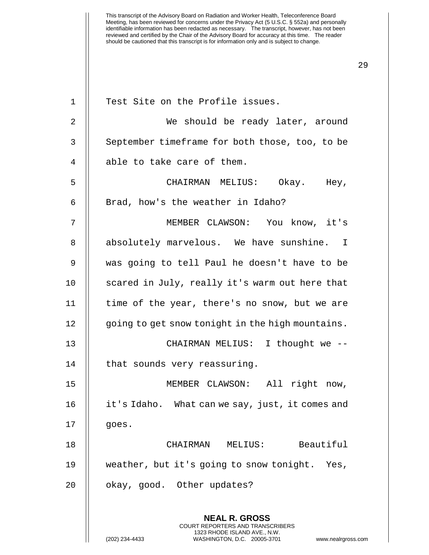| $\mathbf 1$ | Test Site on the Profile issues.                                                                                                                             |
|-------------|--------------------------------------------------------------------------------------------------------------------------------------------------------------|
| 2           | We should be ready later, around                                                                                                                             |
| 3           | September timeframe for both those, too, to be                                                                                                               |
| 4           | able to take care of them.                                                                                                                                   |
| 5           | CHAIRMAN MELIUS: Okay. Hey,                                                                                                                                  |
| 6           | Brad, how's the weather in Idaho?                                                                                                                            |
| 7           | MEMBER CLAWSON: You know, it's                                                                                                                               |
| 8           | absolutely marvelous. We have sunshine. I                                                                                                                    |
| 9           | was going to tell Paul he doesn't have to be                                                                                                                 |
| 10          | scared in July, really it's warm out here that                                                                                                               |
| 11          | time of the year, there's no snow, but we are                                                                                                                |
| 12          | going to get snow tonight in the high mountains.                                                                                                             |
| 13          | CHAIRMAN MELIUS: I thought we --                                                                                                                             |
| 14          | that sounds very reassuring.                                                                                                                                 |
| 15          | MEMBER CLAWSON: All right now,                                                                                                                               |
| 16          | it's Idaho. What can we say, just, it comes and                                                                                                              |
| 17          | goes.                                                                                                                                                        |
| 18          | Beautiful<br>CHAIRMAN MELIUS:                                                                                                                                |
| 19          | weather, but it's going to snow tonight. Yes,                                                                                                                |
| 20          | okay, good. Other updates?                                                                                                                                   |
|             | <b>NEAL R. GROSS</b><br>COURT REPORTERS AND TRANSCRIBERS<br>1323 RHODE ISLAND AVE., N.W.<br>(202) 234-4433<br>WASHINGTON, D.C. 20005-3701<br>www.nealrgross. |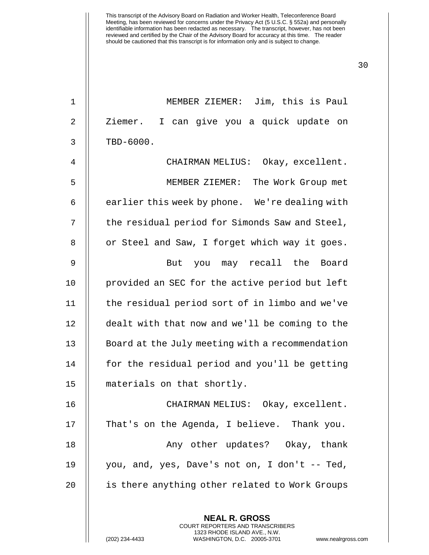1 MEMBER ZIEMER: Jim, this is Paul 2 || Ziemer. I can give you a quick update on  $3 \parallel$  TBD-6000. 4 CHAIRMAN MELIUS: Okay, excellent. 5 MEMBER ZIEMER: The Work Group met  $6$   $\parallel$  earlier this week by phone. We're dealing with 7 | the residual period for Simonds Saw and Steel, 8 | or Steel and Saw, I forget which way it goes. 9 || But you may recall the Board 10 || provided an SEC for the active period but left 11 the residual period sort of in limbo and we've 12 | dealt with that now and we'll be coming to the 13 | Board at the July meeting with a recommendation 14 || for the residual period and you'll be getting 15 materials on that shortly. 16 CHAIRMAN MELIUS: Okay, excellent. 17 || That's on the Agenda, I believe. Thank you. 18 || Any other updates? Okay, thank 19 you, and, yes, Dave's not on, I don't -- Ted, 20 | is there anything other related to Work Groups

> **NEAL R. GROSS** COURT REPORTERS AND TRANSCRIBERS 1323 RHODE ISLAND AVE., N.W.

30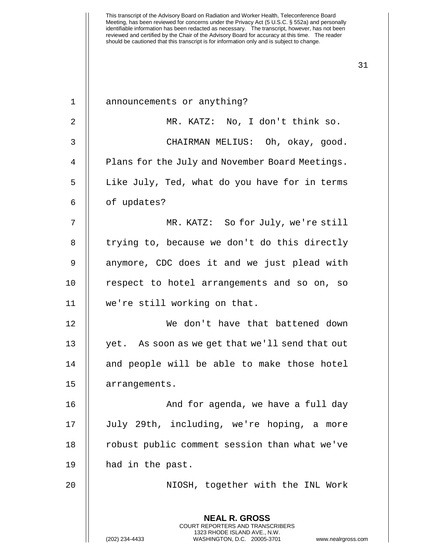| $\mathbf 1$ | announcements or anything?                                                                                                                                             |
|-------------|------------------------------------------------------------------------------------------------------------------------------------------------------------------------|
| 2           | MR. KATZ: No, I don't think so.                                                                                                                                        |
| 3           | CHAIRMAN MELIUS: Oh, okay, good.                                                                                                                                       |
| 4           | Plans for the July and November Board Meetings.                                                                                                                        |
| 5           | Like July, Ted, what do you have for in terms                                                                                                                          |
| 6           | of updates?                                                                                                                                                            |
| 7           | MR. KATZ: So for July, we're still                                                                                                                                     |
| 8           | trying to, because we don't do this directly                                                                                                                           |
| 9           | anymore, CDC does it and we just plead with                                                                                                                            |
| 10          | respect to hotel arrangements and so on, so                                                                                                                            |
| 11          | we're still working on that.                                                                                                                                           |
| 12          | We don't have that battened down                                                                                                                                       |
| 13          | yet. As soon as we get that we'll send that out                                                                                                                        |
| 14          | and people will be able to make those hotel                                                                                                                            |
| 15          | arrangements.                                                                                                                                                          |
| 16          | And for agenda, we have a full day                                                                                                                                     |
| 17          | July 29th, including, we're hoping, a more                                                                                                                             |
| 18          | robust public comment session than what we've                                                                                                                          |
| 19          | had in the past.                                                                                                                                                       |
| 20          | NIOSH, together with the INL Work                                                                                                                                      |
|             | <b>NEAL R. GROSS</b><br><b>COURT REPORTERS AND TRANSCRIBERS</b><br>1323 RHODE ISLAND AVE., N.W.<br>(202) 234-4433<br>WASHINGTON, D.C. 20005-3701<br>www.nealrgross.com |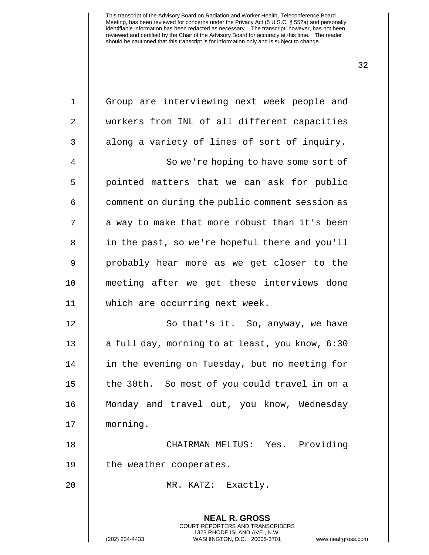| $\mathbf 1$    | Group are interviewing next week people and                                                                                                |
|----------------|--------------------------------------------------------------------------------------------------------------------------------------------|
| $\overline{2}$ | workers from INL of all different capacities                                                                                               |
| 3              | along a variety of lines of sort of inquiry.                                                                                               |
| $\overline{4}$ | So we're hoping to have some sort of                                                                                                       |
| 5              | pointed matters that we can ask for public                                                                                                 |
| 6              | comment on during the public comment session as                                                                                            |
| 7              | a way to make that more robust than it's been                                                                                              |
| 8              | in the past, so we're hopeful there and you'll                                                                                             |
| 9              | probably hear more as we get closer to the                                                                                                 |
| 10             | meeting after we get these interviews done                                                                                                 |
| 11             | which are occurring next week.                                                                                                             |
| 12             | So that's it. So, anyway, we have                                                                                                          |
| 13             | a full day, morning to at least, you know, 6:30                                                                                            |
| 14             | in the evening on Tuesday, but no meeting for                                                                                              |
| 15             | the 30th. So most of you could travel in on a                                                                                              |
| 16             | Monday and travel out, you know, Wednesday                                                                                                 |
| 17             | morning.                                                                                                                                   |
| 18             | CHAIRMAN MELIUS: Yes. Providing                                                                                                            |
| 19             | the weather cooperates.                                                                                                                    |
| 20             | MR. KATZ: Exactly.                                                                                                                         |
|                | <b>NEAL R. GROSS</b>                                                                                                                       |
|                | <b>COURT REPORTERS AND TRANSCRIBERS</b><br>1323 RHODE ISLAND AVE., N.W.<br>(202) 234-4433<br>WASHINGTON, D.C. 20005-3701<br>www.nealrgross |

(202) 234-4433 WASHINGTON, D.C. 20005-3701 www.nealrgross.com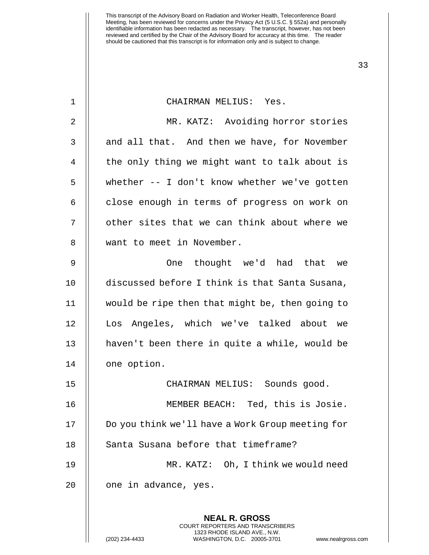| $\mathbf{1}$   | CHAIRMAN MELIUS: Yes.                            |
|----------------|--------------------------------------------------|
| $\overline{2}$ | MR. KATZ: Avoiding horror stories                |
| 3              | and all that. And then we have, for November     |
| 4              | the only thing we might want to talk about is    |
| 5              | whether -- I don't know whether we've gotten     |
| 6              | close enough in terms of progress on work on     |
| 7              | other sites that we can think about where we     |
| 8              | want to meet in November.                        |
| 9              | thought we'd had that<br>One<br>we               |
| 10             | discussed before I think is that Santa Susana,   |
| 11             | would be ripe then that might be, then going to  |
| 12             | Los Angeles, which we've talked about we         |
| 13             | haven't been there in quite a while, would be    |
| 14             | one option.                                      |
| 15             | CHAIRMAN MELIUS: Sounds good.                    |
| 16             | MEMBER BEACH: Ted, this is Josie.                |
| 17             | Do you think we'll have a Work Group meeting for |
| 18             | Santa Susana before that timeframe?              |
| 19             | Oh, I think we would need<br>MR. KATZ:           |
| 20             | one in advance, yes.                             |
|                | <b>NEAL R. GROSS</b>                             |

COURT REPORTERS AND TRANSCRIBERS 1323 RHODE ISLAND AVE., N.W.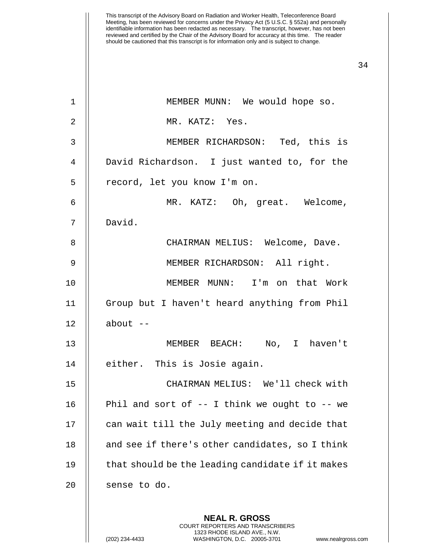| 1  | MEMBER MUNN: We would hope so.                                                                                                                                         |
|----|------------------------------------------------------------------------------------------------------------------------------------------------------------------------|
| 2  | MR. KATZ: Yes.                                                                                                                                                         |
| 3  | MEMBER RICHARDSON: Ted, this is                                                                                                                                        |
| 4  | David Richardson. I just wanted to, for the                                                                                                                            |
| 5  | record, let you know I'm on.                                                                                                                                           |
| 6  | MR. KATZ: Oh, great. Welcome,                                                                                                                                          |
| 7  | David.                                                                                                                                                                 |
| 8  | CHAIRMAN MELIUS: Welcome, Dave.                                                                                                                                        |
| 9  | MEMBER RICHARDSON: All right.                                                                                                                                          |
| 10 | MEMBER MUNN: I'm on that Work                                                                                                                                          |
| 11 | Group but I haven't heard anything from Phil                                                                                                                           |
| 12 | about $--$                                                                                                                                                             |
| 13 | MEMBER BEACH: No, I haven't                                                                                                                                            |
| 14 | either. This is Josie again.                                                                                                                                           |
| 15 | CHAIRMAN MELIUS: We'll check with                                                                                                                                      |
| 16 | Phil and sort of -- I think we ought to -- we                                                                                                                          |
| 17 | can wait till the July meeting and decide that                                                                                                                         |
| 18 | and see if there's other candidates, so I think                                                                                                                        |
| 19 | that should be the leading candidate if it makes                                                                                                                       |
| 20 | sense to do.                                                                                                                                                           |
|    | <b>NEAL R. GROSS</b><br><b>COURT REPORTERS AND TRANSCRIBERS</b><br>1323 RHODE ISLAND AVE., N.W.<br>(202) 234-4433<br>WASHINGTON, D.C. 20005-3701<br>www.nealrgross.com |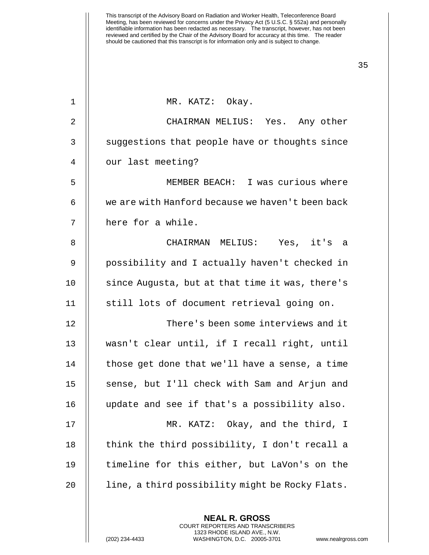| $\mathbf 1$ | MR. KATZ: Okay.                                  |
|-------------|--------------------------------------------------|
| 2           | CHAIRMAN MELIUS: Yes. Any other                  |
| 3           | suggestions that people have or thoughts since   |
| 4           | our last meeting?                                |
| 5           | MEMBER BEACH: I was curious where                |
| 6           | we are with Hanford because we haven't been back |
| 7           | here for a while.                                |
| 8           | CHAIRMAN MELIUS: Yes, it's a                     |
| 9           | possibility and I actually haven't checked in    |
| 10          | since Augusta, but at that time it was, there's  |
| 11          | still lots of document retrieval going on.       |
| 12          | There's been some interviews and it              |
| 13          | wasn't clear until, if I recall right, until     |
| 14          | those get done that we'll have a sense, a time   |
| 15          | sense, but I'll check with Sam and Arjun and     |
| 16          | update and see if that's a possibility also.     |
| 17          | MR. KATZ: Okay, and the third, I                 |
| 18          | think the third possibility, I don't recall a    |
| 19          | timeline for this either, but LaVon's on the     |
| 20          | line, a third possibility might be Rocky Flats.  |
|             |                                                  |

**NEAL R. GROSS** COURT REPORTERS AND TRANSCRIBERS 1323 RHODE ISLAND AVE., N.W.

(202) 234-4433 WASHINGTON, D.C. 20005-3701 www.nealrgross.com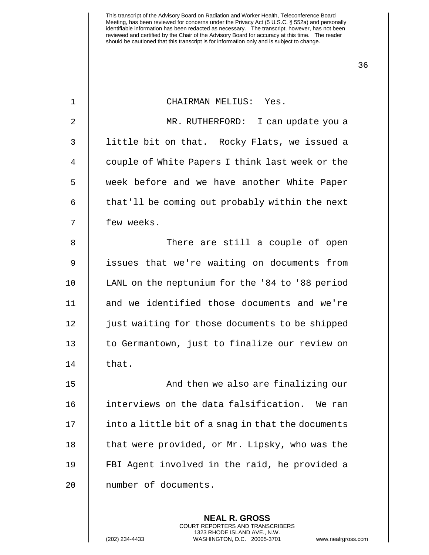| $\mathbf{1}$ | CHAIRMAN MELIUS: Yes.                             |
|--------------|---------------------------------------------------|
| 2            | MR. RUTHERFORD:<br>I can update you a             |
| $\mathbf{3}$ | little bit on that. Rocky Flats, we issued a      |
| 4            | couple of White Papers I think last week or the   |
| 5            | week before and we have another White Paper       |
| 6            | that'll be coming out probably within the next    |
| 7            | few weeks.                                        |
| 8            | There are still a couple of open                  |
| 9            | issues that we're waiting on documents from       |
| 10           | LANL on the neptunium for the '84 to '88 period   |
| 11           | and we identified those documents and we're       |
| 12           | just waiting for those documents to be shipped    |
| 13           | to Germantown, just to finalize our review on     |
| 14           | that.                                             |
| 15           | And then we also are finalizing our               |
| 16           | interviews on the data falsification. We ran      |
| 17           | into a little bit of a snag in that the documents |
| 18           | that were provided, or Mr. Lipsky, who was the    |
| 19           | FBI Agent involved in the raid, he provided a     |
| 20           | number of documents.                              |
|              |                                                   |

**NEAL R. GROSS** COURT REPORTERS AND TRANSCRIBERS 1323 RHODE ISLAND AVE., N.W.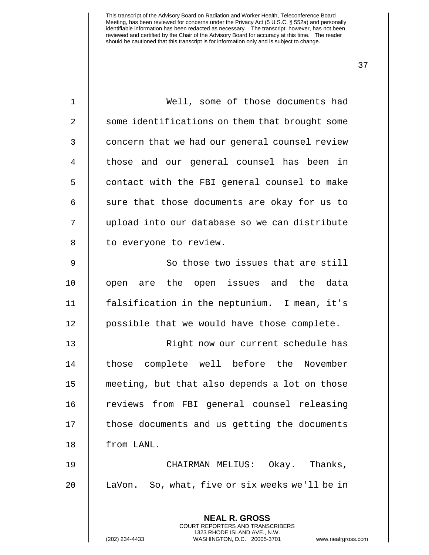| $\mathbf 1$    | Well, some of those documents had                                                                                                                                 |
|----------------|-------------------------------------------------------------------------------------------------------------------------------------------------------------------|
| $\overline{2}$ | some identifications on them that brought some                                                                                                                    |
| 3              | concern that we had our general counsel review                                                                                                                    |
| 4              | those and our general counsel has been in                                                                                                                         |
| 5              | contact with the FBI general counsel to make                                                                                                                      |
| 6              | sure that those documents are okay for us to                                                                                                                      |
| 7              | upload into our database so we can distribute                                                                                                                     |
| 8              | to everyone to review.                                                                                                                                            |
| 9              | So those two issues that are still                                                                                                                                |
| 10             | open are the open issues and the data                                                                                                                             |
| 11             | falsification in the neptunium. I mean, it's                                                                                                                      |
| 12             | possible that we would have those complete.                                                                                                                       |
| 13             | Right now our current schedule has                                                                                                                                |
| 14             | those complete well before the November                                                                                                                           |
| 15             | meeting, but that also depends a lot on those                                                                                                                     |
| 16             | reviews from FBI general counsel releasing                                                                                                                        |
| 17             | those documents and us getting the documents                                                                                                                      |
| 18             | from LANL.                                                                                                                                                        |
| 19             | CHAIRMAN MELIUS: Okay. Thanks,                                                                                                                                    |
| 20             | LaVon. So, what, five or six weeks we'll be in                                                                                                                    |
|                |                                                                                                                                                                   |
|                | <b>NEAL R. GROSS</b><br><b>COURT REPORTERS AND TRANSCRIBERS</b><br>1323 RHODE ISLAND AVE., N.W.<br>(202) 234-4433<br>WASHINGTON, D.C. 20005-3701<br>www.nealrgros |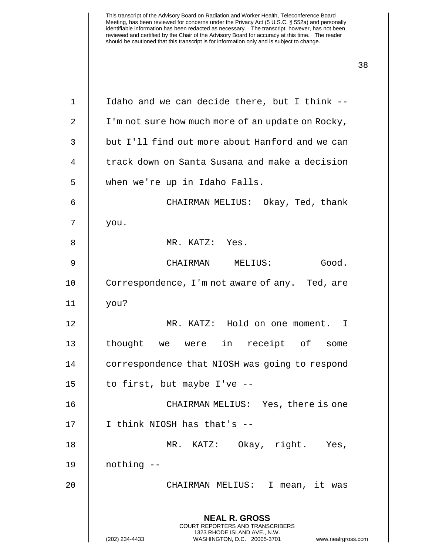| $\mathbf 1$ | Idaho and we can decide there, but I think --                                                                                                                          |
|-------------|------------------------------------------------------------------------------------------------------------------------------------------------------------------------|
| 2           | I'm not sure how much more of an update on Rocky,                                                                                                                      |
| 3           | but I'll find out more about Hanford and we can                                                                                                                        |
| 4           | track down on Santa Susana and make a decision                                                                                                                         |
| 5           | when we're up in Idaho Falls.                                                                                                                                          |
| 6           | CHAIRMAN MELIUS: Okay, Ted, thank                                                                                                                                      |
| 7           | you.                                                                                                                                                                   |
| 8           | MR. KATZ: Yes.                                                                                                                                                         |
| 9           | Good.<br>CHAIRMAN MELIUS:                                                                                                                                              |
| 10          | Correspondence, I'm not aware of any. Ted, are                                                                                                                         |
| 11          | you?                                                                                                                                                                   |
| 12          | MR. KATZ: Hold on one moment. I                                                                                                                                        |
| 13          | thought we were in receipt of some                                                                                                                                     |
| 14          | correspondence that NIOSH was going to respond                                                                                                                         |
| 15          | to first, but maybe I've --                                                                                                                                            |
| 16          | CHAIRMAN MELIUS: Yes, there is one                                                                                                                                     |
| 17          | I think NIOSH has that's --                                                                                                                                            |
| 18          | MR. KATZ: Okay, right. Yes,                                                                                                                                            |
| 19          | nothing --                                                                                                                                                             |
| 20          | CHAIRMAN MELIUS: I mean, it was                                                                                                                                        |
|             |                                                                                                                                                                        |
|             | <b>NEAL R. GROSS</b><br><b>COURT REPORTERS AND TRANSCRIBERS</b><br>1323 RHODE ISLAND AVE., N.W.<br>(202) 234-4433<br>WASHINGTON, D.C. 20005-3701<br>www.nealrgross.com |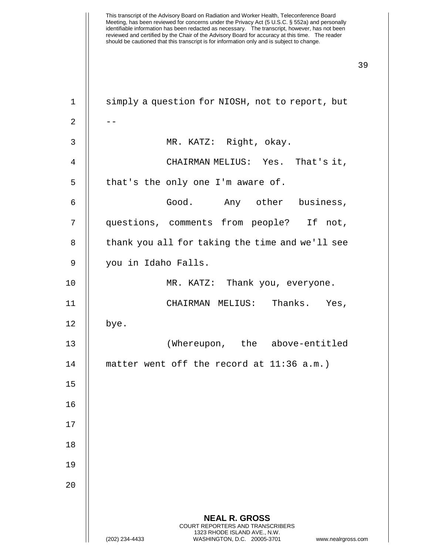| $1\,$          | simply a question for NIOSH, not to report, but                                                                                                |
|----------------|------------------------------------------------------------------------------------------------------------------------------------------------|
| $\overline{2}$ |                                                                                                                                                |
| 3              | MR. KATZ: Right, okay.                                                                                                                         |
| $\overline{4}$ | CHAIRMAN MELIUS: Yes. That's it,                                                                                                               |
| 5              | that's the only one I'm aware of.                                                                                                              |
| 6              | Good. Any other business,                                                                                                                      |
| 7              | questions, comments from people? If not,                                                                                                       |
| 8              | thank you all for taking the time and we'll see                                                                                                |
| 9              | you in Idaho Falls.                                                                                                                            |
| 10             | MR. KATZ: Thank you, everyone.                                                                                                                 |
| 11             | CHAIRMAN MELIUS: Thanks. Yes,                                                                                                                  |
| 12             | bye.                                                                                                                                           |
| 13             | (Whereupon, the above-entitled                                                                                                                 |
| 14             | matter went off the record at $11:36$ a.m.)                                                                                                    |
| 15             |                                                                                                                                                |
| 16             |                                                                                                                                                |
| 17             |                                                                                                                                                |
| 18             |                                                                                                                                                |
| 19             |                                                                                                                                                |
| 20             |                                                                                                                                                |
|                | <b>NEAL R. GROSS</b>                                                                                                                           |
|                | <b>COURT REPORTERS AND TRANSCRIBERS</b><br>1323 RHODE ISLAND AVE., N.W.<br>WASHINGTON, D.C. 20005-3701<br>(202) 234-4433<br>www.nealrgross.com |